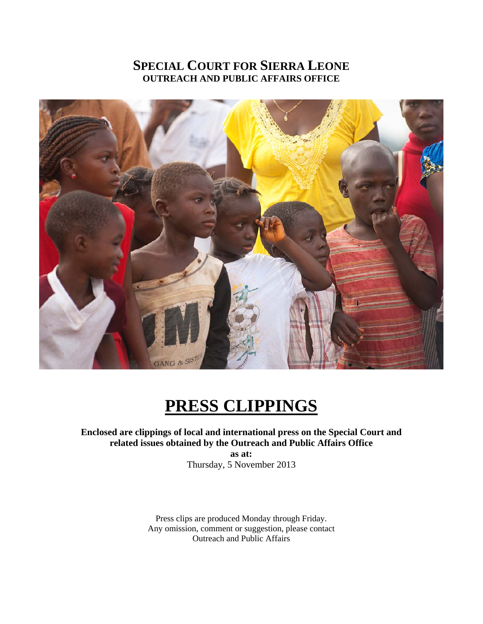## **SPECIAL COURT FOR SIERRA LEONE OUTREACH AND PUBLIC AFFAIRS OFFICE**



## **PRESS CLIPPINGS**

**Enclosed are clippings of local and international press on the Special Court and related issues obtained by the Outreach and Public Affairs Office** 

**as at:**  Thursday, 5 November 2013

Press clips are produced Monday through Friday. Any omission, comment or suggestion, please contact Outreach and Public Affairs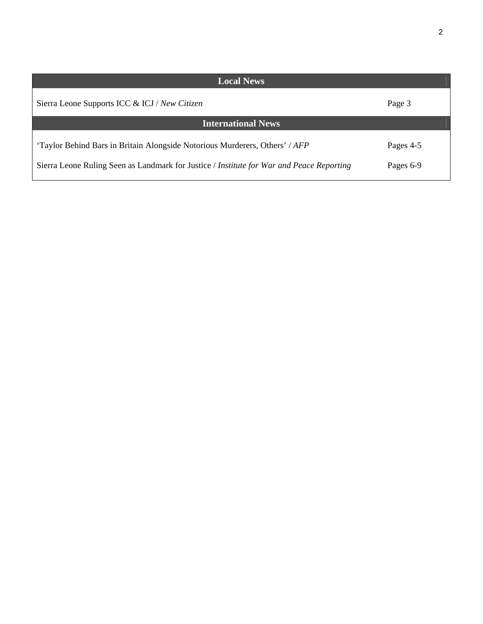| ٦ |   |         |  |
|---|---|---------|--|
|   | ٠ | I<br>۰, |  |
|   |   |         |  |
|   |   |         |  |

| <b>Local News</b>                                                                        |           |  |  |  |  |
|------------------------------------------------------------------------------------------|-----------|--|--|--|--|
| Sierra Leone Supports ICC & ICJ / New Citizen                                            | Page 3    |  |  |  |  |
| <b>International News</b>                                                                |           |  |  |  |  |
| 'Taylor Behind Bars in Britain Alongside Notorious Murderers, Others' / AFP              | Pages 4-5 |  |  |  |  |
| Sierra Leone Ruling Seen as Landmark for Justice / Institute for War and Peace Reporting | Pages 6-9 |  |  |  |  |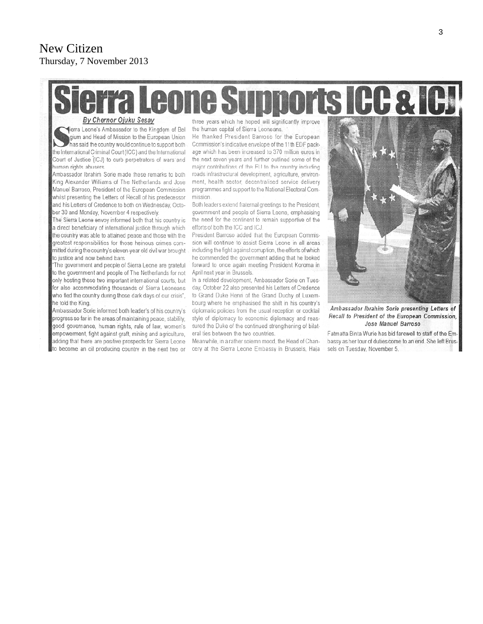# **Leone Supports ICC & ICJ**

By Chernor Ojuku Sesay

lierra Leone's Ambassador to the Kingdom of Bel gium and Head of Mission to the European Union has said the country would continue to support both the International Criminal Court (ICC) and the International Court of Justice (ICJ) to curb perpetrators of wars and human rights abusers

Ambassador Ibrahim Sorie made these remarks to both King Alexander Williams of The Netherlands and Jose Manuel Barroso, President of the European Commission whilst presenting the Letters of Recall of his predecessor and his Letters of Credence to both on Wednesday, October 30 and Monday, November 4 respectively.

The Sierra Leone envoy informed both that his country is a direct beneficiary of international justice through which the country was able to attained peace and those with the greatest responsibilities for those heinous crimes committed during the country's eleven-year old civil war brought to justice and now behind bars.

"The government and people of Sierra Leone are grateful to the government and people of The Netherlands for not only hosting these two important international courts, but for also accommodating thousands of Sierra Leoneans who fled the country during those dark days of our crisis", he told the King.

Ambassador Sorie informed both leader's of his country's progress so far in the areas of maintaining peace, stability, good governance, human rights, rule of law, women's empowerment, fight against graft, mining and agriculture, adding that there are positive prospects for Sierra Leone to become an oil producing country in the next two or three years which he hoped will significantly improve the human capital of Sierra Leoneans.

He thanked President Barroso for the European Commission's indicative envelope of the 11th EDF package which has been increased to 370 million euros in the next seven years and further outlined some of the major contributions of the EU to the country including roads infrastructural development, agriculture, environment, health sector, decentralised service delivery programmes and support to the National Electoral Commission

Both leaders extend fraternal greetings to the President, government and people of Sierra Leone, emphasising the need for the continent to remain supportive of the efforts of both the ICC and ICJ.

President Barroso added that the European Commission will continue to assist Sierra Leone in all areas including the fight against corruption, the efforts of which he commended the government adding that he looked forward to once again meeting President Koroma in April next year in Brussels.

In a related development, Ambassador Sorie on Tuesday, October 22 also presented his Letters of Credence to Grand Duke Henri of the Grand Duchy of Luxembourg where he emphasised the shift in his country's diplomatic policies from the usual reception or cocktail style of diplomacy to economic diplomacy and reassured the Duke of the continued strengthening of bilateral ties between the two countries.

Meanwhile, in a rather solemn mood, the Head of Chancery at the Sierra Leone Embassy in Brussels, Haja



Ambassador Ibrahim Sorie presenting Letters of Recall to President of the European Commission, Jose Manuel Barroso

Fatmatta Binta Wurie has bid farewell to staff of the Embassy as her tour of duties come to an end. She left Brussels on Tuesday, November 5.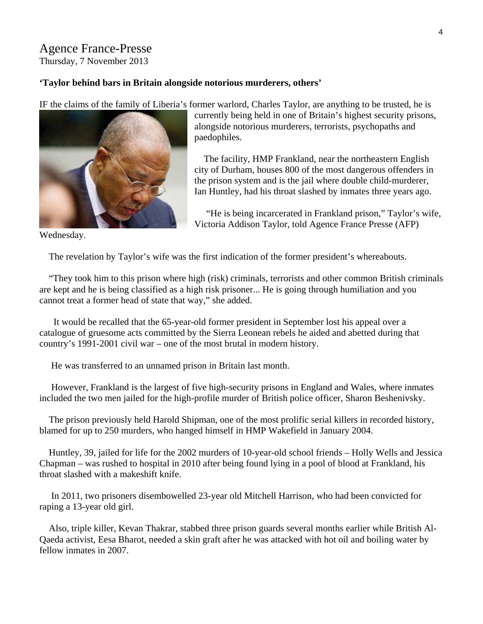## Agence France-Presse

Thursday, 7 November 2013

#### **'Taylor behind bars in Britain alongside notorious murderers, others'**

IF the claims of the family of Liberia's former warlord, Charles Taylor, are anything to be trusted, he is



currently being held in one of Britain's highest security prisons, alongside notorious murderers, terrorists, psychopaths and paedophiles.

 The facility, HMP Frankland, near the northeastern English city of Durham, houses 800 of the most dangerous offenders in the prison system and is the jail where double child-murderer, Ian Huntley, had his throat slashed by inmates three years ago.

 "He is being incarcerated in Frankland prison," Taylor's wife, Victoria Addison Taylor, told Agence France Presse (AFP)

Wednesday.

The revelation by Taylor's wife was the first indication of the former president's whereabouts.

 "They took him to this prison where high (risk) criminals, terrorists and other common British criminals are kept and he is being classified as a high risk prisoner... He is going through humiliation and you cannot treat a former head of state that way," she added.

 It would be recalled that the 65-year-old former president in September lost his appeal over a catalogue of gruesome acts committed by the Sierra Leonean rebels he aided and abetted during that country's 1991-2001 civil war – one of the most brutal in modern history.

He was transferred to an unnamed prison in Britain last month.

 However, Frankland is the largest of five high-security prisons in England and Wales, where inmates included the two men jailed for the high-profile murder of British police officer, Sharon Beshenivsky.

 The prison previously held Harold Shipman, one of the most prolific serial killers in recorded history, blamed for up to 250 murders, who hanged himself in HMP Wakefield in January 2004.

 Huntley, 39, jailed for life for the 2002 murders of 10-year-old school friends – Holly Wells and Jessica Chapman – was rushed to hospital in 2010 after being found lying in a pool of blood at Frankland, his throat slashed with a makeshift knife.

 In 2011, two prisoners disembowelled 23-year old Mitchell Harrison, who had been convicted for raping a 13-year old girl.

 Also, triple killer, Kevan Thakrar, stabbed three prison guards several months earlier while British Al-Qaeda activist, Eesa Bharot, needed a skin graft after he was attacked with hot oil and boiling water by fellow inmates in 2007.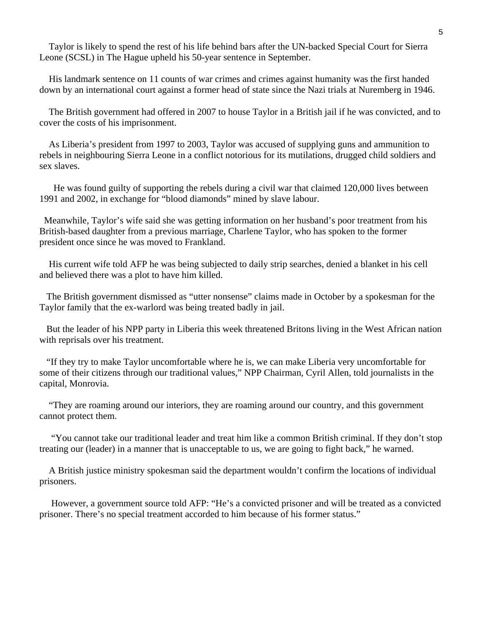Taylor is likely to spend the rest of his life behind bars after the UN-backed Special Court for Sierra Leone (SCSL) in The Hague upheld his 50-year sentence in September.

 His landmark sentence on 11 counts of war crimes and crimes against humanity was the first handed down by an international court against a former head of state since the Nazi trials at Nuremberg in 1946.

 The British government had offered in 2007 to house Taylor in a British jail if he was convicted, and to cover the costs of his imprisonment.

 As Liberia's president from 1997 to 2003, Taylor was accused of supplying guns and ammunition to rebels in neighbouring Sierra Leone in a conflict notorious for its mutilations, drugged child soldiers and sex slaves.

 He was found guilty of supporting the rebels during a civil war that claimed 120,000 lives between 1991 and 2002, in exchange for "blood diamonds" mined by slave labour.

 Meanwhile, Taylor's wife said she was getting information on her husband's poor treatment from his British-based daughter from a previous marriage, Charlene Taylor, who has spoken to the former president once since he was moved to Frankland.

 His current wife told AFP he was being subjected to daily strip searches, denied a blanket in his cell and believed there was a plot to have him killed.

 The British government dismissed as "utter nonsense" claims made in October by a spokesman for the Taylor family that the ex-warlord was being treated badly in jail.

 But the leader of his NPP party in Liberia this week threatened Britons living in the West African nation with reprisals over his treatment.

 "If they try to make Taylor uncomfortable where he is, we can make Liberia very uncomfortable for some of their citizens through our traditional values," NPP Chairman, Cyril Allen, told journalists in the capital, Monrovia.

 "They are roaming around our interiors, they are roaming around our country, and this government cannot protect them.

 "You cannot take our traditional leader and treat him like a common British criminal. If they don't stop treating our (leader) in a manner that is unacceptable to us, we are going to fight back," he warned.

 A British justice ministry spokesman said the department wouldn't confirm the locations of individual prisoners.

 However, a government source told AFP: "He's a convicted prisoner and will be treated as a convicted prisoner. There's no special treatment accorded to him because of his former status."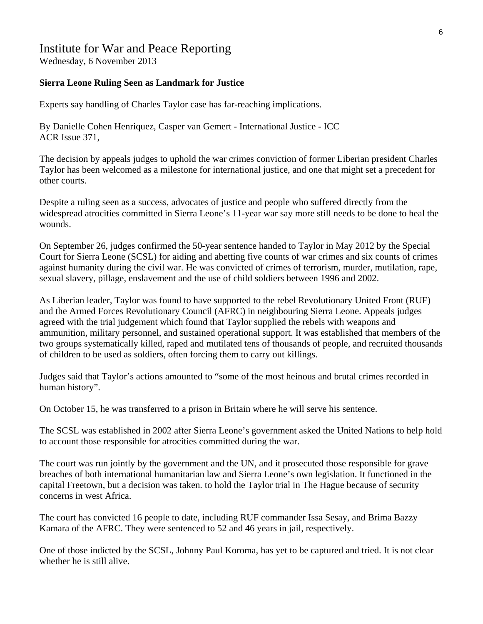### Institute for War and Peace Reporting

Wednesday, 6 November 2013

#### **Sierra Leone Ruling Seen as Landmark for Justice**

Experts say handling of Charles Taylor case has far-reaching implications.

By Danielle Cohen Henriquez, Casper van Gemert - International Justice - ICC ACR Issue 371,

The decision by appeals judges to uphold the war crimes conviction of former Liberian president Charles Taylor has been welcomed as a milestone for international justice, and one that might set a precedent for other courts.

Despite a ruling seen as a success, advocates of justice and people who suffered directly from the widespread atrocities committed in Sierra Leone's 11-year war say more still needs to be done to heal the wounds.

On September 26, judges confirmed the 50-year sentence handed to Taylor in May 2012 by the Special Court for Sierra Leone (SCSL) for aiding and abetting five counts of war crimes and six counts of crimes against humanity during the civil war. He was convicted of crimes of terrorism, murder, mutilation, rape, sexual slavery, pillage, enslavement and the use of child soldiers between 1996 and 2002.

As Liberian leader, Taylor was found to have supported to the rebel Revolutionary United Front (RUF) and the Armed Forces Revolutionary Council (AFRC) in neighbouring Sierra Leone. Appeals judges agreed with the trial judgement which found that Taylor supplied the rebels with weapons and ammunition, military personnel, and sustained operational support. It was established that members of the two groups systematically killed, raped and mutilated tens of thousands of people, and recruited thousands of children to be used as soldiers, often forcing them to carry out killings.

Judges said that Taylor's actions amounted to "some of the most heinous and brutal crimes recorded in human history".

On October 15, he was transferred to a prison in Britain where he will serve his sentence.

The SCSL was established in 2002 after Sierra Leone's government asked the United Nations to help hold to account those responsible for atrocities committed during the war.

The court was run jointly by the government and the UN, and it prosecuted those responsible for grave breaches of both international humanitarian law and Sierra Leone's own legislation. It functioned in the capital Freetown, but a decision was taken. to hold the Taylor trial in The Hague because of security concerns in west Africa.

The court has convicted 16 people to date, including RUF commander Issa Sesay, and Brima Bazzy Kamara of the AFRC. They were sentenced to 52 and 46 years in jail, respectively.

One of those indicted by the SCSL, Johnny Paul Koroma, has yet to be captured and tried. It is not clear whether he is still alive.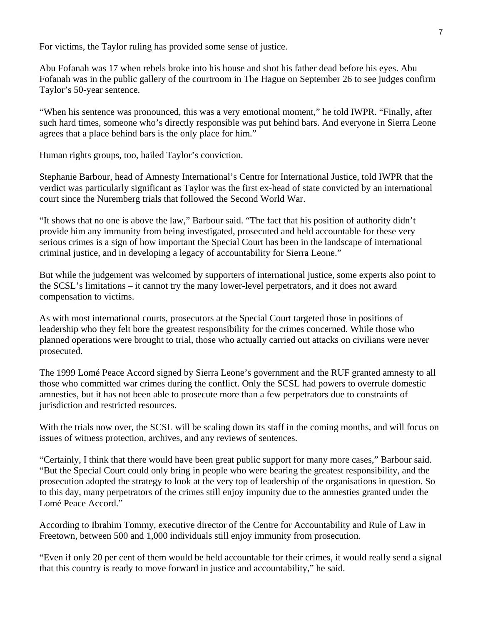For victims, the Taylor ruling has provided some sense of justice.

Abu Fofanah was 17 when rebels broke into his house and shot his father dead before his eyes. Abu Fofanah was in the public gallery of the courtroom in The Hague on September 26 to see judges confirm Taylor's 50-year sentence.

"When his sentence was pronounced, this was a very emotional moment," he told IWPR. "Finally, after such hard times, someone who's directly responsible was put behind bars. And everyone in Sierra Leone agrees that a place behind bars is the only place for him."

Human rights groups, too, hailed Taylor's conviction.

Stephanie Barbour, head of Amnesty International's Centre for International Justice, told IWPR that the verdict was particularly significant as Taylor was the first ex-head of state convicted by an international court since the Nuremberg trials that followed the Second World War.

"It shows that no one is above the law," Barbour said. "The fact that his position of authority didn't provide him any immunity from being investigated, prosecuted and held accountable for these very serious crimes is a sign of how important the Special Court has been in the landscape of international criminal justice, and in developing a legacy of accountability for Sierra Leone."

But while the judgement was welcomed by supporters of international justice, some experts also point to the SCSL's limitations – it cannot try the many lower-level perpetrators, and it does not award compensation to victims.

As with most international courts, prosecutors at the Special Court targeted those in positions of leadership who they felt bore the greatest responsibility for the crimes concerned. While those who planned operations were brought to trial, those who actually carried out attacks on civilians were never prosecuted.

The 1999 Lomé Peace Accord signed by Sierra Leone's government and the RUF granted amnesty to all those who committed war crimes during the conflict. Only the SCSL had powers to overrule domestic amnesties, but it has not been able to prosecute more than a few perpetrators due to constraints of jurisdiction and restricted resources.

With the trials now over, the SCSL will be scaling down its staff in the coming months, and will focus on issues of witness protection, archives, and any reviews of sentences.

"Certainly, I think that there would have been great public support for many more cases," Barbour said. "But the Special Court could only bring in people who were bearing the greatest responsibility, and the prosecution adopted the strategy to look at the very top of leadership of the organisations in question. So to this day, many perpetrators of the crimes still enjoy impunity due to the amnesties granted under the Lomé Peace Accord."

According to Ibrahim Tommy, executive director of the Centre for Accountability and Rule of Law in Freetown, between 500 and 1,000 individuals still enjoy immunity from prosecution.

"Even if only 20 per cent of them would be held accountable for their crimes, it would really send a signal that this country is ready to move forward in justice and accountability," he said.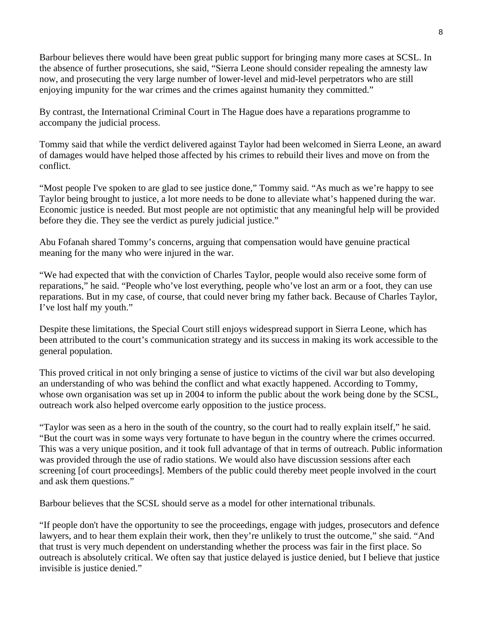Barbour believes there would have been great public support for bringing many more cases at SCSL. In the absence of further prosecutions, she said, "Sierra Leone should consider repealing the amnesty law now, and prosecuting the very large number of lower-level and mid-level perpetrators who are still enjoying impunity for the war crimes and the crimes against humanity they committed."

By contrast, the International Criminal Court in The Hague does have a reparations programme to accompany the judicial process.

Tommy said that while the verdict delivered against Taylor had been welcomed in Sierra Leone, an award of damages would have helped those affected by his crimes to rebuild their lives and move on from the conflict.

"Most people I've spoken to are glad to see justice done," Tommy said. "As much as we're happy to see Taylor being brought to justice, a lot more needs to be done to alleviate what's happened during the war. Economic justice is needed. But most people are not optimistic that any meaningful help will be provided before they die. They see the verdict as purely judicial justice."

Abu Fofanah shared Tommy's concerns, arguing that compensation would have genuine practical meaning for the many who were injured in the war.

"We had expected that with the conviction of Charles Taylor, people would also receive some form of reparations," he said. "People who've lost everything, people who've lost an arm or a foot, they can use reparations. But in my case, of course, that could never bring my father back. Because of Charles Taylor, I've lost half my youth."

Despite these limitations, the Special Court still enjoys widespread support in Sierra Leone, which has been attributed to the court's communication strategy and its success in making its work accessible to the general population.

This proved critical in not only bringing a sense of justice to victims of the civil war but also developing an understanding of who was behind the conflict and what exactly happened. According to Tommy, whose own organisation was set up in 2004 to inform the public about the work being done by the SCSL, outreach work also helped overcome early opposition to the justice process.

"Taylor was seen as a hero in the south of the country, so the court had to really explain itself," he said. "But the court was in some ways very fortunate to have begun in the country where the crimes occurred. This was a very unique position, and it took full advantage of that in terms of outreach. Public information was provided through the use of radio stations. We would also have discussion sessions after each screening [of court proceedings]. Members of the public could thereby meet people involved in the court and ask them questions."

Barbour believes that the SCSL should serve as a model for other international tribunals.

"If people don't have the opportunity to see the proceedings, engage with judges, prosecutors and defence lawyers, and to hear them explain their work, then they're unlikely to trust the outcome," she said. "And that trust is very much dependent on understanding whether the process was fair in the first place. So outreach is absolutely critical. We often say that justice delayed is justice denied, but I believe that justice invisible is justice denied."